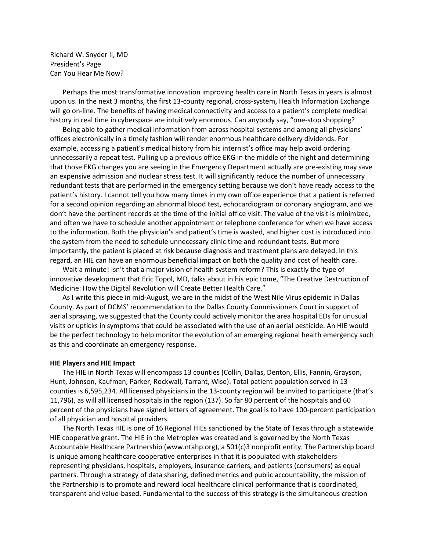Richard W. Snyder II, MD President's Page Can You Hear Me Now?

Perhaps the most transformative innovation improving health care in North Texas in years is almost upon us. In the next 3 months, the first 13-county regional, cross-system, Health Information Exchange will go on-line. The benefits of having medical connectivity and access to a patient's complete medical history in real time in cyberspace are intuitively enormous. Can anybody say, "one-stop shopping?

Being able to gather medical information from across hospital systems and among all physicians' offices electronically in a timely fashion will render enormous healthcare delivery dividends. For example, accessing a patient's medical history from his internist's office may help avoid ordering unnecessarily a repeat test. Pulling up a previous office EKG in the middle of the night and determining that those EKG changes you are seeing in the Emergency Department actually are pre-existing may save an expensive admission and nuclear stress test. It will significantly reduce the number of unnecessary redundant tests that are performed in the emergency setting because we don't have ready access to the patient's history. I cannot tell you how many times in my own office experience that a patient is referred for a second opinion regarding an abnormal blood test, echocardiogram or coronary angiogram, and we don't have the pertinent records at the time of the initial office visit. The value of the visit is minimized, and often we have to schedule another appointment or telephone conference for when we have access to the information. Both the physician's and patient's time is wasted, and higher cost is introduced into the system from the need to schedule unnecessary clinic time and redundant tests. But more importantly, the patient is placed at risk because diagnosis and treatment plans are delayed. In this regard, an HIE can have an enormous beneficial impact on both the quality and cost of health care.

Wait a minute! Isn't that a major vision of health system reform? This is exactly the type of innovative development that Eric Topol, MD, talks about in his epic tome, "The Creative Destruction of Medicine: How the Digital Revolution will Create Better Health Care."

As I write this piece in mid-August, we are in the midst of the West Nile Virus epidemic in Dallas County. As part of DCMS' recommendation to the Dallas County Commissioners Court in support of aerial spraying, we suggested that the County could actively monitor the area hospital EDs for unusual visits or upticks in symptoms that could be associated with the use of an aerial pesticide. An HIE would be the perfect technology to help monitor the evolution of an emerging regional health emergency such as this and coordinate an emergency response.

## **HIE Players and HIE Impact**

The HIE in North Texas will encompass 13 counties (Collin, Dallas, Denton, Ellis, Fannin, Grayson, Hunt, Johnson, Kaufman, Parker, Rockwall, Tarrant, Wise). Total patient population served in 13 counties is 6,595,234. All licensed physicians in the 13-county region will be invited to participate (that's 11,796), as will all licensed hospitals in the region (137). So far 80 percent of the hospitals and 60 percent of the physicians have signed letters of agreement. The goal is to have 100-percent participation of all physician and hospital providers.

The North Texas HIE is one of 16 Regional HIEs sanctioned by the State of Texas through a statewide HIE cooperative grant. The HIE in the Metroplex was created and is governed by the North Texas Accountable Healthcare Partnership (www.ntahp.org), a 501(c)3 nonprofit entity. The Partnership board is unique among healthcare cooperative enterprises in that it is populated with stakeholders representing physicians, hospitals, employers, insurance carriers, and patients (consumers) as equal partners. Through a strategy of data sharing, defined metrics and public accountability, the mission of the Partnership is to promote and reward local healthcare clinical performance that is coordinated, transparent and value-based. Fundamental to the success of this strategy is the simultaneous creation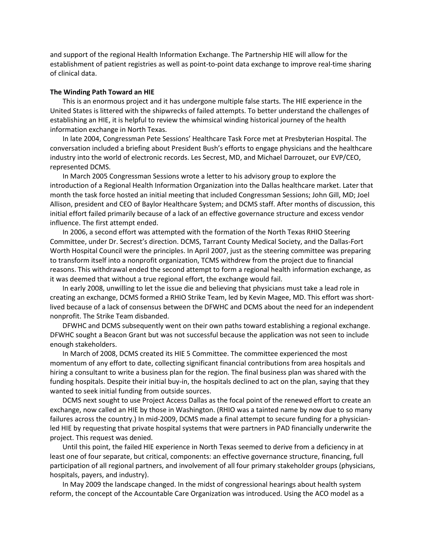and support of the regional Health Information Exchange. The Partnership HIE will allow for the establishment of patient registries as well as point-to-point data exchange to improve real-time sharing of clinical data.

## **The Winding Path Toward an HIE**

This is an enormous project and it has undergone multiple false starts. The HIE experience in the United States is littered with the shipwrecks of failed attempts. To better understand the challenges of establishing an HIE, it is helpful to review the whimsical winding historical journey of the health information exchange in North Texas.

In late 2004, Congressman Pete Sessions' Healthcare Task Force met at Presbyterian Hospital. The conversation included a briefing about President Bush's efforts to engage physicians and the healthcare industry into the world of electronic records. Les Secrest, MD, and Michael Darrouzet, our EVP/CEO, represented DCMS.

In March 2005 Congressman Sessions wrote a letter to his advisory group to explore the introduction of a Regional Health Information Organization into the Dallas healthcare market. Later that month the task force hosted an initial meeting that included Congressman Sessions; John Gill, MD; Joel Allison, president and CEO of Baylor Healthcare System; and DCMS staff. After months of discussion, this initial effort failed primarily because of a lack of an effective governance structure and excess vendor influence. The first attempt ended.

In 2006, a second effort was attempted with the formation of the North Texas RHIO Steering Committee, under Dr. Secrest's direction. DCMS, Tarrant County Medical Society, and the Dallas-Fort Worth Hospital Council were the principles. In April 2007, just as the steering committee was preparing to transform itself into a nonprofit organization, TCMS withdrew from the project due to financial reasons. This withdrawal ended the second attempt to form a regional health information exchange, as it was deemed that without a true regional effort, the exchange would fail.

In early 2008, unwilling to let the issue die and believing that physicians must take a lead role in creating an exchange, DCMS formed a RHIO Strike Team, led by Kevin Magee, MD. This effort was shortlived because of a lack of consensus between the DFWHC and DCMS about the need for an independent nonprofit. The Strike Team disbanded.

DFWHC and DCMS subsequently went on their own paths toward establishing a regional exchange. DFWHC sought a Beacon Grant but was not successful because the application was not seen to include enough stakeholders.

In March of 2008, DCMS created its HIE 5 Committee. The committee experienced the most momentum of any effort to date, collecting significant financial contributions from area hospitals and hiring a consultant to write a business plan for the region. The final business plan was shared with the funding hospitals. Despite their initial buy-in, the hospitals declined to act on the plan, saying that they wanted to seek initial funding from outside sources.

DCMS next sought to use Project Access Dallas as the focal point of the renewed effort to create an exchange, now called an HIE by those in Washington. (RHIO was a tainted name by now due to so many failures across the country.) In mid-2009, DCMS made a final attempt to secure funding for a physicianled HIE by requesting that private hospital systems that were partners in PAD financially underwrite the project. This request was denied.

Until this point, the failed HIE experience in North Texas seemed to derive from a deficiency in at least one of four separate, but critical, components: an effective governance structure, financing, full participation of all regional partners, and involvement of all four primary stakeholder groups (physicians, hospitals, payers, and industry).

In May 2009 the landscape changed. In the midst of congressional hearings about health system reform, the concept of the Accountable Care Organization was introduced. Using the ACO model as a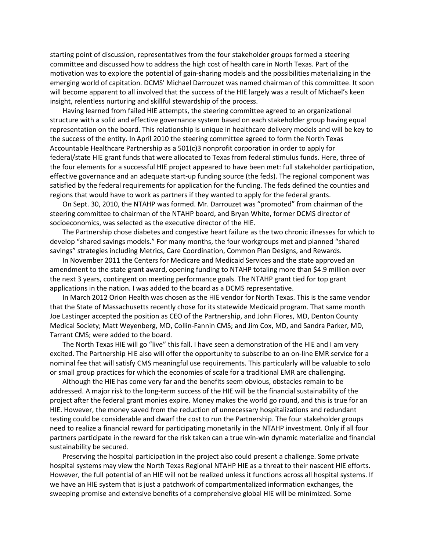starting point of discussion, representatives from the four stakeholder groups formed a steering committee and discussed how to address the high cost of health care in North Texas. Part of the motivation was to explore the potential of gain-sharing models and the possibilities materializing in the emerging world of capitation. DCMS' Michael Darrouzet was named chairman of this committee. It soon will become apparent to all involved that the success of the HIE largely was a result of Michael's keen insight, relentless nurturing and skillful stewardship of the process.

Having learned from failed HIE attempts, the steering committee agreed to an organizational structure with a solid and effective governance system based on each stakeholder group having equal representation on the board. This relationship is unique in healthcare delivery models and will be key to the success of the entity. In April 2010 the steering committee agreed to form the North Texas Accountable Healthcare Partnership as a 501(c)3 nonprofit corporation in order to apply for federal/state HIE grant funds that were allocated to Texas from federal stimulus funds. Here, three of the four elements for a successful HIE project appeared to have been met: full stakeholder participation, effective governance and an adequate start-up funding source (the feds). The regional component was satisfied by the federal requirements for application for the funding. The feds defined the counties and regions that would have to work as partners if they wanted to apply for the federal grants.

On Sept. 30, 2010, the NTAHP was formed. Mr. Darrouzet was "promoted" from chairman of the steering committee to chairman of the NTAHP board, and Bryan White, former DCMS director of socioeconomics, was selected as the executive director of the HIE.

The Partnership chose diabetes and congestive heart failure as the two chronic illnesses for which to develop "shared savings models." For many months, the four workgroups met and planned "shared savings" strategies including Metrics, Care Coordination, Common Plan Designs, and Rewards.

In November 2011 the Centers for Medicare and Medicaid Services and the state approved an amendment to the state grant award, opening funding to NTAHP totaling more than \$4.9 million over the next 3 years, contingent on meeting performance goals. The NTAHP grant tied for top grant applications in the nation. I was added to the board as a DCMS representative.

In March 2012 Orion Health was chosen as the HIE vendor for North Texas. This is the same vendor that the State of Massachusetts recently chose for its statewide Medicaid program. That same month Joe Lastinger accepted the position as CEO of the Partnership, and John Flores, MD, Denton County Medical Society; Matt Weyenberg, MD, Collin-Fannin CMS; and Jim Cox, MD, and Sandra Parker, MD, Tarrant CMS; were added to the board.

The North Texas HIE will go "live" this fall. I have seen a demonstration of the HIE and I am very excited. The Partnership HIE also will offer the opportunity to subscribe to an on-line EMR service for a nominal fee that will satisfy CMS meaningful use requirements. This particularly will be valuable to solo or small group practices for which the economies of scale for a traditional EMR are challenging.

Although the HIE has come very far and the benefits seem obvious, obstacles remain to be addressed. A major risk to the long-term success of the HIE will be the financial sustainability of the project after the federal grant monies expire. Money makes the world go round, and this is true for an HIE. However, the money saved from the reduction of unnecessary hospitalizations and redundant testing could be considerable and dwarf the cost to run the Partnership. The four stakeholder groups need to realize a financial reward for participating monetarily in the NTAHP investment. Only if all four partners participate in the reward for the risk taken can a true win-win dynamic materialize and financial sustainability be secured.

Preserving the hospital participation in the project also could present a challenge. Some private hospital systems may view the North Texas Regional NTAHP HIE as a threat to their nascent HIE efforts. However, the full potential of an HIE will not be realized unless it functions across all hospital systems. If we have an HIE system that is just a patchwork of compartmentalized information exchanges, the sweeping promise and extensive benefits of a comprehensive global HIE will be minimized. Some